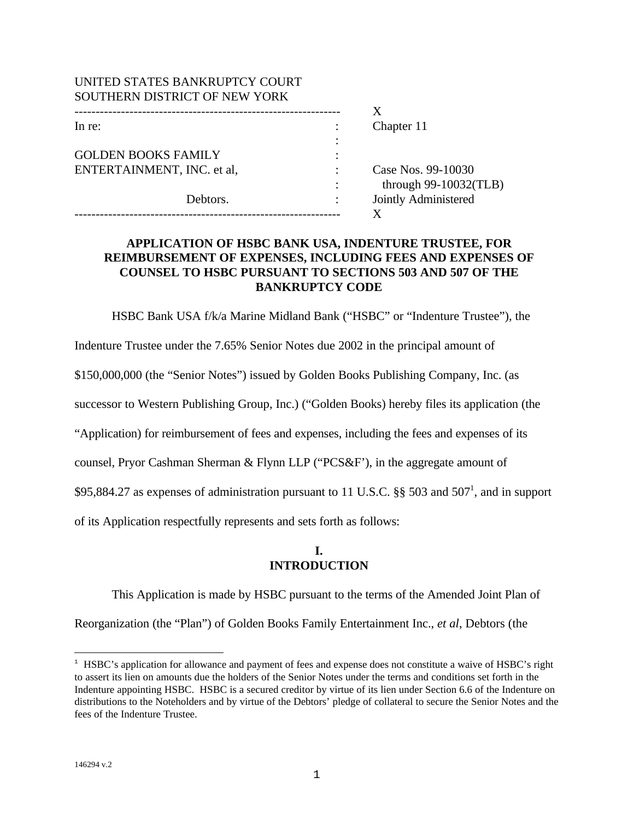| UNITED STATES BANKRUPTCY COURT |                          |
|--------------------------------|--------------------------|
| SOUTHERN DISTRICT OF NEW YORK  |                          |
|                                |                          |
| In re:                         | Chapter 11               |
|                                |                          |
| <b>GOLDEN BOOKS FAMILY</b>     |                          |
| ENTERTAINMENT, INC. et al,     | Case Nos. 99-10030       |
|                                | through $99-10032$ (TLB) |
| Debtors.                       | Jointly Administered     |
|                                |                          |

# **APPLICATION OF HSBC BANK USA, INDENTURE TRUSTEE, FOR REIMBURSEMENT OF EXPENSES, INCLUDING FEES AND EXPENSES OF COUNSEL TO HSBC PURSUANT TO SECTIONS 503 AND 507 OF THE BANKRUPTCY CODE**

HSBC Bank USA f/k/a Marine Midland Bank ("HSBC" or "Indenture Trustee"), the

Indenture Trustee under the 7.65% Senior Notes due 2002 in the principal amount of

\$150,000,000 (the "Senior Notes") issued by Golden Books Publishing Company, Inc. (as

successor to Western Publishing Group, Inc.) ("Golden Books) hereby files its application (the

"Application) for reimbursement of fees and expenses, including the fees and expenses of its

counsel, Pryor Cashman Sherman & Flynn LLP ("PCS&F'), in the aggregate amount of

\$95,884.27 as expenses of administration pursuant to 11 U.S.C.  $\S$ § 503 and 507<sup>1</sup>, and in support

of its Application respectfully represents and sets forth as follows:

## **I. INTRODUCTION**

This Application is made by HSBC pursuant to the terms of the Amended Joint Plan of Reorganization (the "Plan") of Golden Books Family Entertainment Inc., *et al*, Debtors (the

 $\overline{a}$ 

<sup>&</sup>lt;sup>1</sup> HSBC's application for allowance and payment of fees and expense does not constitute a waive of HSBC's right to assert its lien on amounts due the holders of the Senior Notes under the terms and conditions set forth in the Indenture appointing HSBC. HSBC is a secured creditor by virtue of its lien under Section 6.6 of the Indenture on distributions to the Noteholders and by virtue of the Debtors' pledge of collateral to secure the Senior Notes and the fees of the Indenture Trustee.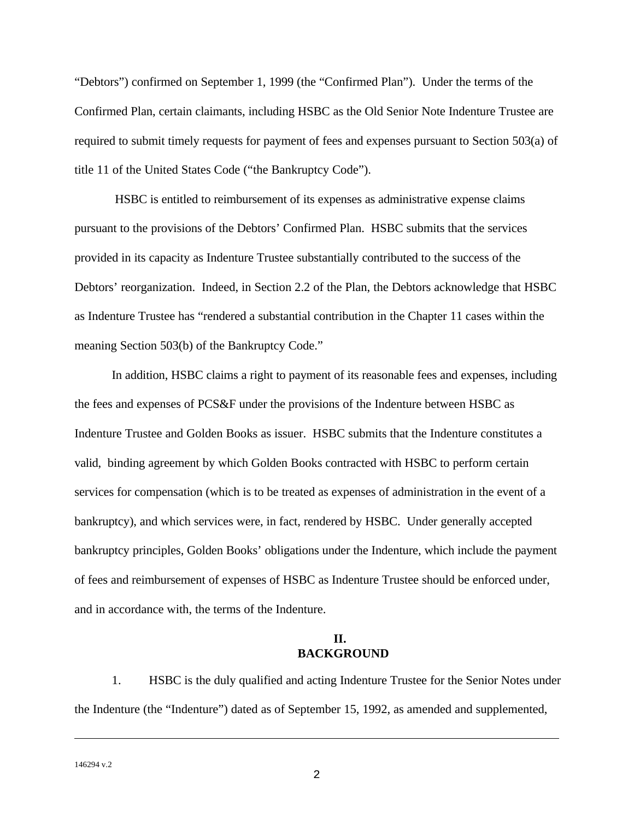"Debtors") confirmed on September 1, 1999 (the "Confirmed Plan"). Under the terms of the Confirmed Plan, certain claimants, including HSBC as the Old Senior Note Indenture Trustee are required to submit timely requests for payment of fees and expenses pursuant to Section 503(a) of title 11 of the United States Code ("the Bankruptcy Code").

 HSBC is entitled to reimbursement of its expenses as administrative expense claims pursuant to the provisions of the Debtors' Confirmed Plan. HSBC submits that the services provided in its capacity as Indenture Trustee substantially contributed to the success of the Debtors' reorganization. Indeed, in Section 2.2 of the Plan, the Debtors acknowledge that HSBC as Indenture Trustee has "rendered a substantial contribution in the Chapter 11 cases within the meaning Section 503(b) of the Bankruptcy Code."

In addition, HSBC claims a right to payment of its reasonable fees and expenses, including the fees and expenses of PCS&F under the provisions of the Indenture between HSBC as Indenture Trustee and Golden Books as issuer. HSBC submits that the Indenture constitutes a valid, binding agreement by which Golden Books contracted with HSBC to perform certain services for compensation (which is to be treated as expenses of administration in the event of a bankruptcy), and which services were, in fact, rendered by HSBC. Under generally accepted bankruptcy principles, Golden Books' obligations under the Indenture, which include the payment of fees and reimbursement of expenses of HSBC as Indenture Trustee should be enforced under, and in accordance with, the terms of the Indenture.

# **II. BACKGROUND**

1. HSBC is the duly qualified and acting Indenture Trustee for the Senior Notes under the Indenture (the "Indenture") dated as of September 15, 1992, as amended and supplemented,

1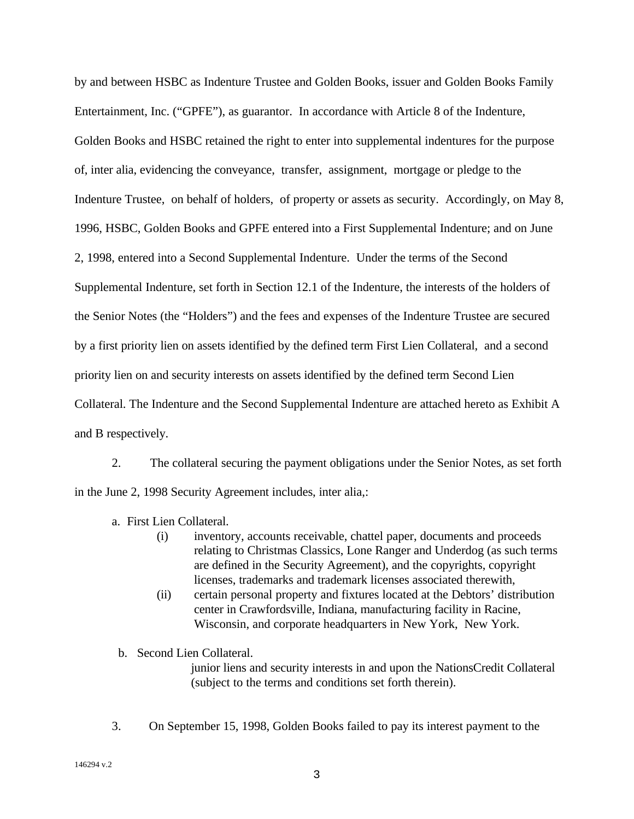by and between HSBC as Indenture Trustee and Golden Books, issuer and Golden Books Family Entertainment, Inc. ("GPFE"), as guarantor. In accordance with Article 8 of the Indenture, Golden Books and HSBC retained the right to enter into supplemental indentures for the purpose of, inter alia, evidencing the conveyance, transfer, assignment, mortgage or pledge to the Indenture Trustee, on behalf of holders, of property or assets as security. Accordingly, on May 8, 1996, HSBC, Golden Books and GPFE entered into a First Supplemental Indenture; and on June 2, 1998, entered into a Second Supplemental Indenture. Under the terms of the Second Supplemental Indenture, set forth in Section 12.1 of the Indenture, the interests of the holders of the Senior Notes (the "Holders") and the fees and expenses of the Indenture Trustee are secured by a first priority lien on assets identified by the defined term First Lien Collateral, and a second priority lien on and security interests on assets identified by the defined term Second Lien Collateral. The Indenture and the Second Supplemental Indenture are attached hereto as Exhibit A and B respectively.

2. The collateral securing the payment obligations under the Senior Notes, as set forth in the June 2, 1998 Security Agreement includes, inter alia,:

- a. First Lien Collateral.
	- (i) inventory, accounts receivable, chattel paper, documents and proceeds relating to Christmas Classics, Lone Ranger and Underdog (as such terms are defined in the Security Agreement), and the copyrights, copyright licenses, trademarks and trademark licenses associated therewith,
	- (ii) certain personal property and fixtures located at the Debtors' distribution center in Crawfordsville, Indiana, manufacturing facility in Racine, Wisconsin, and corporate headquarters in New York, New York.
- b. Second Lien Collateral.

junior liens and security interests in and upon the NationsCredit Collateral (subject to the terms and conditions set forth therein).

3. On September 15, 1998, Golden Books failed to pay its interest payment to the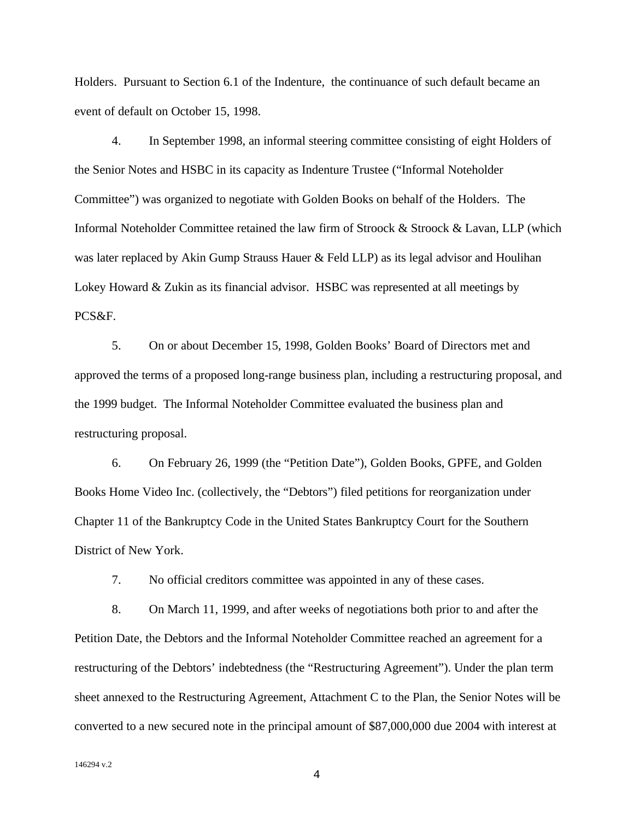Holders. Pursuant to Section 6.1 of the Indenture, the continuance of such default became an event of default on October 15, 1998.

4. In September 1998, an informal steering committee consisting of eight Holders of the Senior Notes and HSBC in its capacity as Indenture Trustee ("Informal Noteholder Committee") was organized to negotiate with Golden Books on behalf of the Holders. The Informal Noteholder Committee retained the law firm of Stroock & Stroock & Lavan, LLP (which was later replaced by Akin Gump Strauss Hauer & Feld LLP) as its legal advisor and Houlihan Lokey Howard & Zukin as its financial advisor. HSBC was represented at all meetings by PCS&F.

5. On or about December 15, 1998, Golden Books' Board of Directors met and approved the terms of a proposed long-range business plan, including a restructuring proposal, and the 1999 budget. The Informal Noteholder Committee evaluated the business plan and restructuring proposal.

6. On February 26, 1999 (the "Petition Date"), Golden Books, GPFE, and Golden Books Home Video Inc. (collectively, the "Debtors") filed petitions for reorganization under Chapter 11 of the Bankruptcy Code in the United States Bankruptcy Court for the Southern District of New York.

7. No official creditors committee was appointed in any of these cases.

8. On March 11, 1999, and after weeks of negotiations both prior to and after the Petition Date, the Debtors and the Informal Noteholder Committee reached an agreement for a restructuring of the Debtors' indebtedness (the "Restructuring Agreement"). Under the plan term sheet annexed to the Restructuring Agreement, Attachment C to the Plan, the Senior Notes will be converted to a new secured note in the principal amount of \$87,000,000 due 2004 with interest at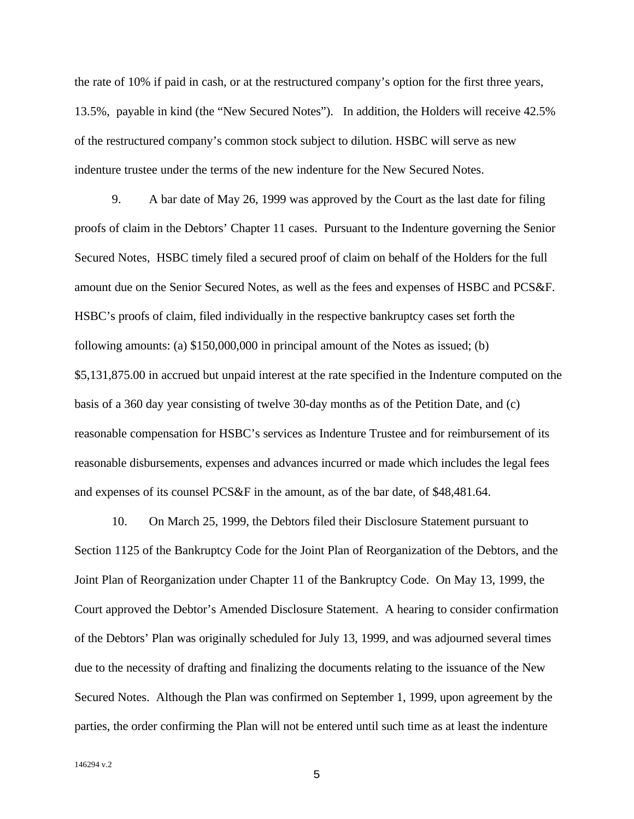the rate of 10% if paid in cash, or at the restructured company's option for the first three years, 13.5%, payable in kind (the "New Secured Notes"). In addition, the Holders will receive 42.5% of the restructured company's common stock subject to dilution. HSBC will serve as new indenture trustee under the terms of the new indenture for the New Secured Notes.

9. A bar date of May 26, 1999 was approved by the Court as the last date for filing proofs of claim in the Debtors' Chapter 11 cases. Pursuant to the Indenture governing the Senior Secured Notes, HSBC timely filed a secured proof of claim on behalf of the Holders for the full amount due on the Senior Secured Notes, as well as the fees and expenses of HSBC and PCS&F. HSBC's proofs of claim, filed individually in the respective bankruptcy cases set forth the following amounts: (a) \$150,000,000 in principal amount of the Notes as issued; (b) \$5,131,875.00 in accrued but unpaid interest at the rate specified in the Indenture computed on the basis of a 360 day year consisting of twelve 30-day months as of the Petition Date, and (c) reasonable compensation for HSBC's services as Indenture Trustee and for reimbursement of its reasonable disbursements, expenses and advances incurred or made which includes the legal fees and expenses of its counsel PCS&F in the amount, as of the bar date, of \$48,481.64.

10. On March 25, 1999, the Debtors filed their Disclosure Statement pursuant to Section 1125 of the Bankruptcy Code for the Joint Plan of Reorganization of the Debtors, and the Joint Plan of Reorganization under Chapter 11 of the Bankruptcy Code. On May 13, 1999, the Court approved the Debtor's Amended Disclosure Statement. A hearing to consider confirmation of the Debtors' Plan was originally scheduled for July 13, 1999, and was adjourned several times due to the necessity of drafting and finalizing the documents relating to the issuance of the New Secured Notes. Although the Plan was confirmed on September 1, 1999, upon agreement by the parties, the order confirming the Plan will not be entered until such time as at least the indenture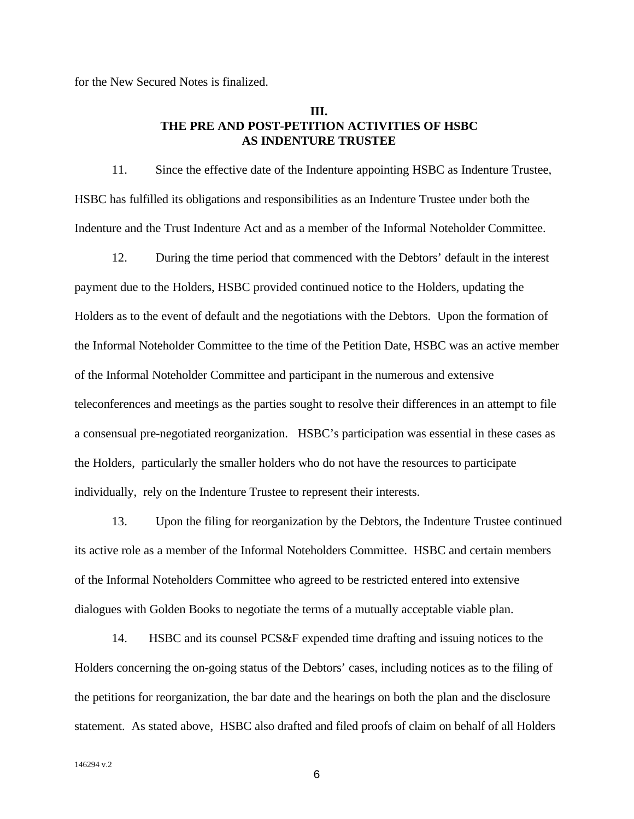for the New Secured Notes is finalized.

## **III. THE PRE AND POST-PETITION ACTIVITIES OF HSBC AS INDENTURE TRUSTEE**

11. Since the effective date of the Indenture appointing HSBC as Indenture Trustee, HSBC has fulfilled its obligations and responsibilities as an Indenture Trustee under both the Indenture and the Trust Indenture Act and as a member of the Informal Noteholder Committee.

12. During the time period that commenced with the Debtors' default in the interest payment due to the Holders, HSBC provided continued notice to the Holders, updating the Holders as to the event of default and the negotiations with the Debtors. Upon the formation of the Informal Noteholder Committee to the time of the Petition Date, HSBC was an active member of the Informal Noteholder Committee and participant in the numerous and extensive teleconferences and meetings as the parties sought to resolve their differences in an attempt to file a consensual pre-negotiated reorganization. HSBC's participation was essential in these cases as the Holders, particularly the smaller holders who do not have the resources to participate individually, rely on the Indenture Trustee to represent their interests.

13. Upon the filing for reorganization by the Debtors, the Indenture Trustee continued its active role as a member of the Informal Noteholders Committee. HSBC and certain members of the Informal Noteholders Committee who agreed to be restricted entered into extensive dialogues with Golden Books to negotiate the terms of a mutually acceptable viable plan.

14. HSBC and its counsel PCS&F expended time drafting and issuing notices to the Holders concerning the on-going status of the Debtors' cases, including notices as to the filing of the petitions for reorganization, the bar date and the hearings on both the plan and the disclosure statement. As stated above, HSBC also drafted and filed proofs of claim on behalf of all Holders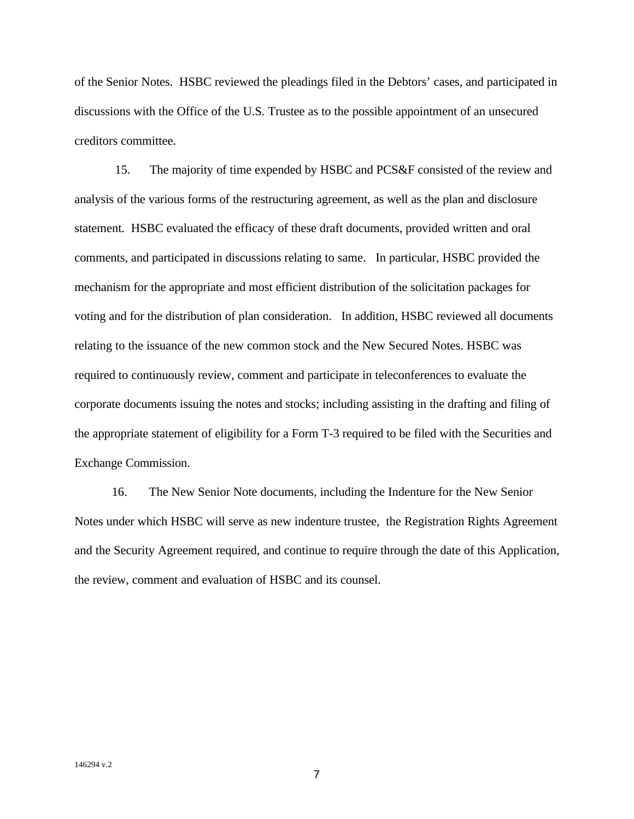of the Senior Notes. HSBC reviewed the pleadings filed in the Debtors' cases, and participated in discussions with the Office of the U.S. Trustee as to the possible appointment of an unsecured creditors committee.

 15. The majority of time expended by HSBC and PCS&F consisted of the review and analysis of the various forms of the restructuring agreement, as well as the plan and disclosure statement. HSBC evaluated the efficacy of these draft documents, provided written and oral comments, and participated in discussions relating to same. In particular, HSBC provided the mechanism for the appropriate and most efficient distribution of the solicitation packages for voting and for the distribution of plan consideration. In addition, HSBC reviewed all documents relating to the issuance of the new common stock and the New Secured Notes. HSBC was required to continuously review, comment and participate in teleconferences to evaluate the corporate documents issuing the notes and stocks; including assisting in the drafting and filing of the appropriate statement of eligibility for a Form T-3 required to be filed with the Securities and Exchange Commission.

16. The New Senior Note documents, including the Indenture for the New Senior Notes under which HSBC will serve as new indenture trustee, the Registration Rights Agreement and the Security Agreement required, and continue to require through the date of this Application, the review, comment and evaluation of HSBC and its counsel.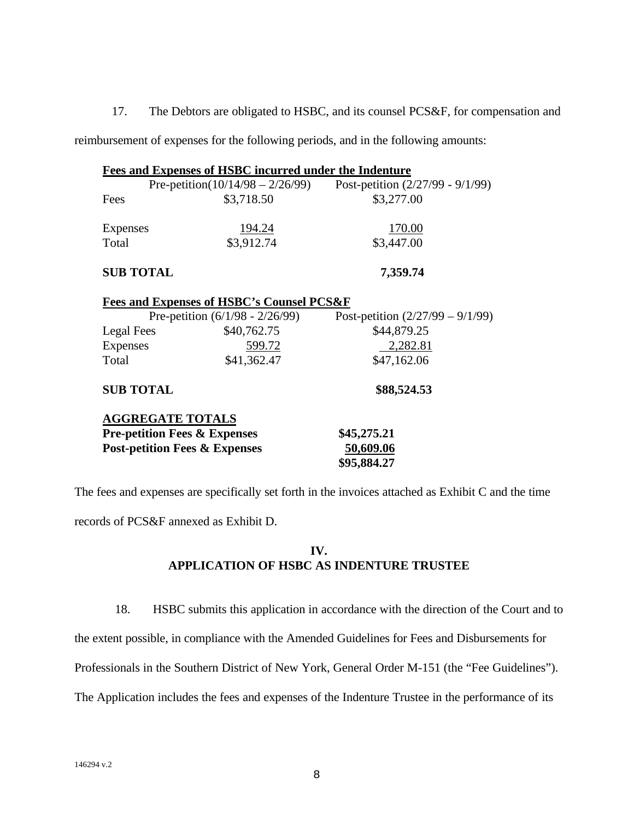17. The Debtors are obligated to HSBC, and its counsel PCS&F, for compensation and

reimbursement of expenses for the following periods, and in the following amounts:

| <b>Fees and Expenses of HSBC incurred under the Indenture</b> |                                                      |                                    |  |  |
|---------------------------------------------------------------|------------------------------------------------------|------------------------------------|--|--|
|                                                               | Pre-petition( $10/14/98 - 2/26/99$ )                 | Post-petition $(2/27/99 - 9/1/99)$ |  |  |
| Fees                                                          | \$3,718.50                                           | \$3,277.00                         |  |  |
|                                                               |                                                      |                                    |  |  |
| Expenses                                                      | 194.24                                               | 170.00                             |  |  |
| Total                                                         | \$3,912.74                                           | \$3,447.00                         |  |  |
| <b>SUB TOTAL</b>                                              |                                                      | 7,359.74                           |  |  |
|                                                               | <b>Fees and Expenses of HSBC's Counsel PCS&amp;F</b> |                                    |  |  |
|                                                               | Pre-petition $(6/1/98 - 2/26/99)$                    | Post-petition $(2/27/99 - 9/1/99)$ |  |  |
| Legal Fees                                                    | \$40,762.75                                          | \$44,879.25                        |  |  |
| <b>Expenses</b>                                               | <u>599.72</u>                                        | 2,282.81                           |  |  |
| Total                                                         | \$41,362.47                                          | \$47,162.06                        |  |  |
| <b>SUB TOTAL</b>                                              |                                                      | \$88,524.53                        |  |  |
| <b>AGGREGATE TOTALS</b>                                       |                                                      |                                    |  |  |
| <b>Pre-petition Fees &amp; Expenses</b>                       |                                                      | \$45,275.21                        |  |  |
| <b>Post-petition Fees &amp; Expenses</b>                      |                                                      | 50,609.06                          |  |  |
|                                                               |                                                      | \$95,884.27                        |  |  |

The fees and expenses are specifically set forth in the invoices attached as Exhibit C and the time records of PCS&F annexed as Exhibit D.

# **IV. APPLICATION OF HSBC AS INDENTURE TRUSTEE**

18. HSBC submits this application in accordance with the direction of the Court and to

the extent possible, in compliance with the Amended Guidelines for Fees and Disbursements for

Professionals in the Southern District of New York, General Order M-151 (the "Fee Guidelines").

The Application includes the fees and expenses of the Indenture Trustee in the performance of its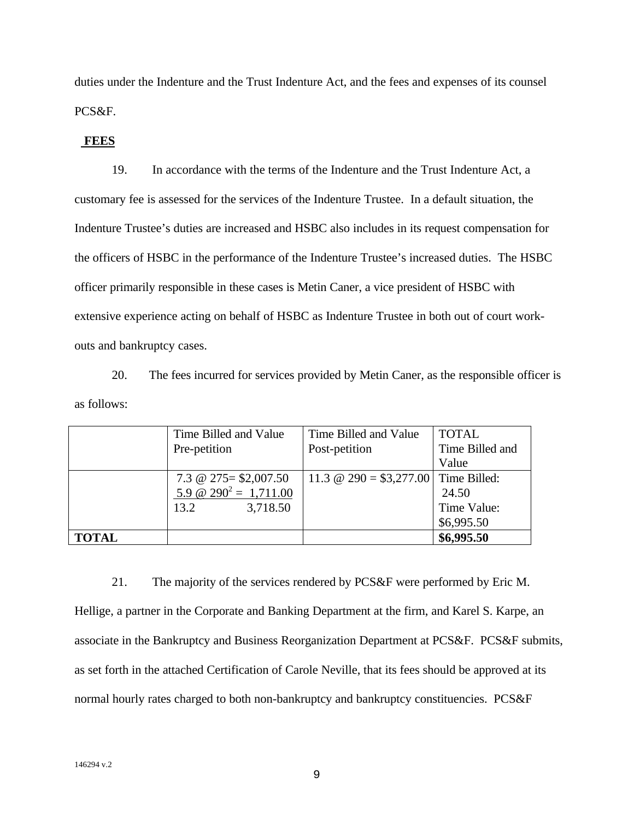duties under the Indenture and the Trust Indenture Act, and the fees and expenses of its counsel PCS&F.

#### **FEES**

19. In accordance with the terms of the Indenture and the Trust Indenture Act, a customary fee is assessed for the services of the Indenture Trustee. In a default situation, the Indenture Trustee's duties are increased and HSBC also includes in its request compensation for the officers of HSBC in the performance of the Indenture Trustee's increased duties. The HSBC officer primarily responsible in these cases is Metin Caner, a vice president of HSBC with extensive experience acting on behalf of HSBC as Indenture Trustee in both out of court workouts and bankruptcy cases.

20. The fees incurred for services provided by Metin Caner, as the responsible officer is as follows:

|              | Time Billed and Value    | Time Billed and Value                       | <b>TOTAL</b>    |
|--------------|--------------------------|---------------------------------------------|-----------------|
|              | Pre-petition             | Post-petition                               | Time Billed and |
|              |                          |                                             | Value           |
|              | 7.3 @ $275 = $2,007.50$  | 11.3 $\omega$ 290 = \$3,277.00 Time Billed: |                 |
|              | 5.9 @ $290^2 = 1,711.00$ |                                             | 24.50           |
|              | 13.2<br>3,718.50         |                                             | Time Value:     |
|              |                          |                                             | \$6,995.50      |
| <b>TOTAL</b> |                          |                                             | \$6,995.50      |

21. The majority of the services rendered by PCS&F were performed by Eric M. Hellige, a partner in the Corporate and Banking Department at the firm, and Karel S. Karpe, an associate in the Bankruptcy and Business Reorganization Department at PCS&F. PCS&F submits, as set forth in the attached Certification of Carole Neville, that its fees should be approved at its normal hourly rates charged to both non-bankruptcy and bankruptcy constituencies. PCS&F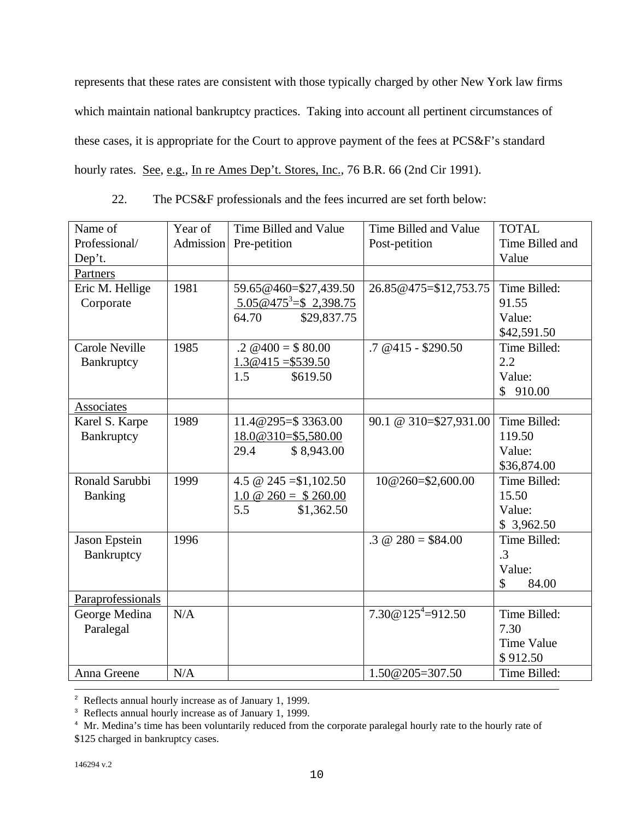represents that these rates are consistent with those typically charged by other New York law firms which maintain national bankruptcy practices. Taking into account all pertinent circumstances of these cases, it is appropriate for the Court to approve payment of the fees at PCS&F's standard hourly rates. See, e.g., In re Ames Dep't. Stores, Inc., 76 B.R. 66 (2nd Cir 1991).

| 22. |  |  | The PCS&F professionals and the fees incurred are set forth below: |
|-----|--|--|--------------------------------------------------------------------|
|     |  |  |                                                                    |

| Name of               | Year of          | Time Billed and Value                | Time Billed and Value         | <b>TOTAL</b>    |
|-----------------------|------------------|--------------------------------------|-------------------------------|-----------------|
| Professional/         | <b>Admission</b> | Pre-petition                         | Post-petition                 | Time Billed and |
| Dep't.                |                  |                                      |                               | Value           |
| Partners              |                  |                                      |                               |                 |
| Eric M. Hellige       | 1981             | 59.65@460=\$27,439.50                | 26.85@475=\$12,753.75         | Time Billed:    |
| Corporate             |                  | $5.05@475^3 = $2,398.75$             |                               | 91.55           |
|                       |                  | 64.70<br>\$29,837.75                 |                               | Value:          |
|                       |                  |                                      |                               | \$42,591.50     |
| <b>Carole Neville</b> | 1985             | $.2 \ \omega$ 400 = \$80.00          | $.7 \& 415 - $290.50$         | Time Billed:    |
| Bankruptcy            |                  | $1.3@415 = $539.50$                  |                               | 2.2             |
|                       |                  | 1.5<br>\$619.50                      |                               | Value:          |
|                       |                  |                                      |                               | \$<br>910.00    |
| <b>Associates</b>     |                  |                                      |                               |                 |
| Karel S. Karpe        | 1989             | 11.4@295=\$3363.00                   | 90.1 @ 310=\$27,931.00        | Time Billed:    |
| Bankruptcy            |                  | 18.0@310=\$5,580.00                  |                               | 119.50          |
|                       |                  | 29.4<br>\$8,943.00                   |                               | Value:          |
|                       |                  |                                      |                               | \$36,874.00     |
| Ronald Sarubbi        | 1999             | 4.5 @ 245 = \$1,102.50               | 10@260=\$2,600.00             | Time Billed:    |
| <b>Banking</b>        |                  | 1.0 $\textcircled{a}$ 260 = \$260.00 |                               | 15.50           |
|                       |                  | 5.5<br>\$1,362.50                    |                               | Value:          |
|                       |                  |                                      |                               | \$3,962.50      |
| Jason Epstein         | 1996             |                                      | $.3 \text{ } @$ 280 = \$84.00 | Time Billed:    |
| Bankruptcy            |                  |                                      |                               | .3              |
|                       |                  |                                      |                               | Value:          |
|                       |                  |                                      |                               | \$<br>84.00     |
| Paraprofessionals     |                  |                                      |                               |                 |
| George Medina         | N/A              |                                      | $7.30@125^{4} = 912.50$       | Time Billed:    |
| Paralegal             |                  |                                      |                               | 7.30            |
|                       |                  |                                      |                               | Time Value      |
|                       |                  |                                      |                               | \$912.50        |
| Anna Greene           | N/A              |                                      | $1.50@205=307.50$             | Time Billed:    |

 $\overline{a}$ <sup>2</sup> Reflects annual hourly increase as of January 1, 1999.

<sup>3</sup> Reflects annual hourly increase as of January 1, 1999.

<sup>&</sup>lt;sup>4</sup> Mr. Medina's time has been voluntarily reduced from the corporate paralegal hourly rate to the hourly rate of \$125 charged in bankruptcy cases.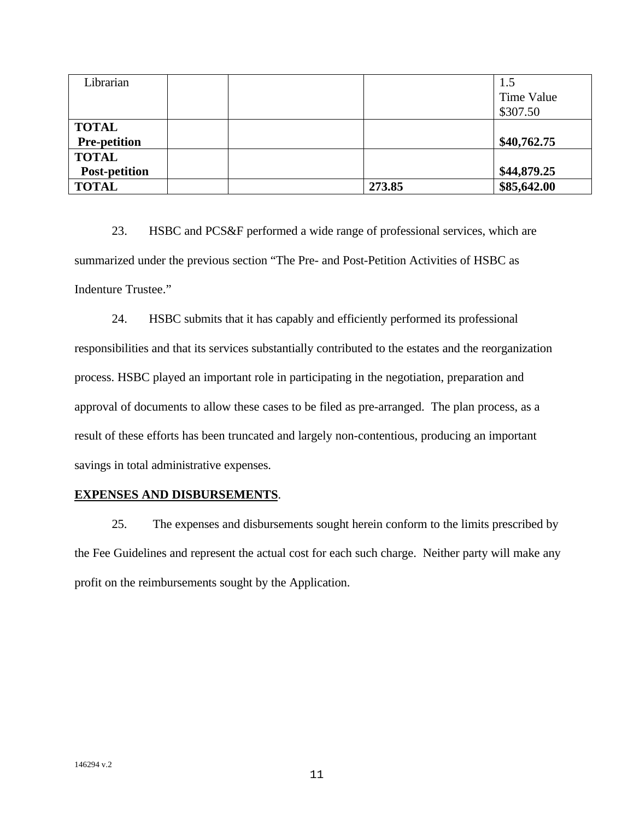| Librarian            |  | 1.5         |
|----------------------|--|-------------|
|                      |  | Time Value  |
|                      |  | \$307.50    |
| <b>TOTAL</b>         |  |             |
| <b>Pre-petition</b>  |  | \$40,762.75 |
| <b>TOTAL</b>         |  |             |
|                      |  |             |
| <b>Post-petition</b> |  | \$44,879.25 |

23. HSBC and PCS&F performed a wide range of professional services, which are summarized under the previous section "The Pre- and Post-Petition Activities of HSBC as Indenture Trustee."

24. HSBC submits that it has capably and efficiently performed its professional responsibilities and that its services substantially contributed to the estates and the reorganization process. HSBC played an important role in participating in the negotiation, preparation and approval of documents to allow these cases to be filed as pre-arranged. The plan process, as a result of these efforts has been truncated and largely non-contentious, producing an important savings in total administrative expenses.

#### **EXPENSES AND DISBURSEMENTS**.

25. The expenses and disbursements sought herein conform to the limits prescribed by the Fee Guidelines and represent the actual cost for each such charge. Neither party will make any profit on the reimbursements sought by the Application.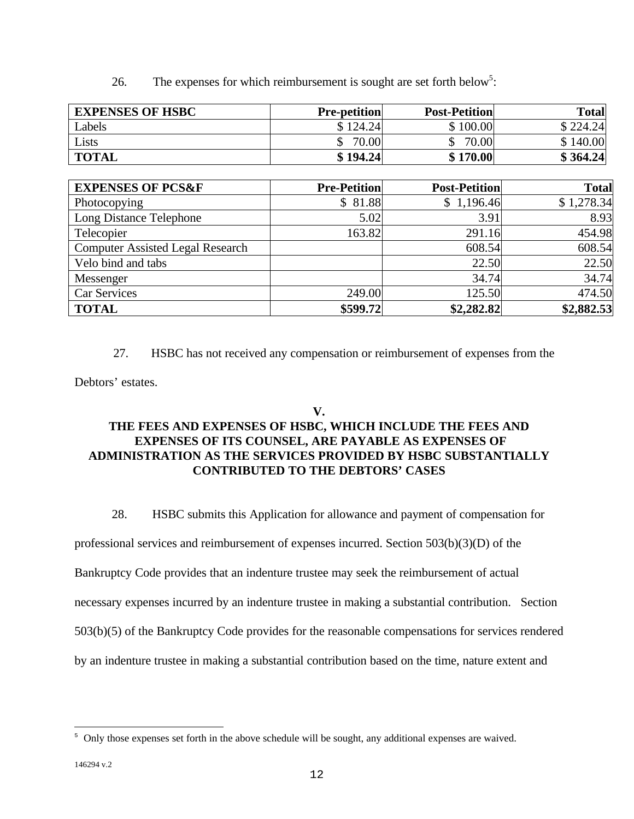26. The expenses for which reimbursement is sought are set forth below<sup>5</sup>:

| <b>EXPENSES OF HSBC</b>                 | <b>Pre-petition</b>     | <b>Post-Petition</b> | <b>Total</b> |
|-----------------------------------------|-------------------------|----------------------|--------------|
| Labels                                  | \$124.24                | \$100.00             | \$224.24     |
| Lists                                   | 70.00<br>$\mathbb{S}^-$ | 70.00<br>\$          | \$140.00     |
| <b>TOTAL</b>                            | \$194.24                | \$170.00             | \$364.24     |
|                                         |                         |                      |              |
| <b>EXPENSES OF PCS&amp;F</b>            | <b>Pre-Petition</b>     | <b>Post-Petition</b> | <b>Total</b> |
| Photocopying                            | \$81.88                 | \$1,196.46           | \$1,278.34   |
| Long Distance Telephone                 | 5.02                    | 3.91                 | 8.93         |
| Telecopier                              | 163.82                  | 291.16               | 454.98       |
| <b>Computer Assisted Legal Research</b> |                         | 608.54               | 608.54       |
| Velo bind and tabs                      |                         | 22.50                | 22.50        |
| Messenger                               |                         | 34.74                | 34.74        |
| Car Services                            | 249.00                  | 125.50               | 474.50       |
| <b>TOTAL</b>                            | \$599.72                | \$2,282.82           | \$2,882.53   |

27. HSBC has not received any compensation or reimbursement of expenses from the

Debtors' estates.

## **V.**

# **THE FEES AND EXPENSES OF HSBC, WHICH INCLUDE THE FEES AND EXPENSES OF ITS COUNSEL, ARE PAYABLE AS EXPENSES OF ADMINISTRATION AS THE SERVICES PROVIDED BY HSBC SUBSTANTIALLY CONTRIBUTED TO THE DEBTORS' CASES**

28. HSBC submits this Application for allowance and payment of compensation for

professional services and reimbursement of expenses incurred. Section 503(b)(3)(D) of the

Bankruptcy Code provides that an indenture trustee may seek the reimbursement of actual

necessary expenses incurred by an indenture trustee in making a substantial contribution. Section

503(b)(5) of the Bankruptcy Code provides for the reasonable compensations for services rendered

by an indenture trustee in making a substantial contribution based on the time, nature extent and

 $\overline{a}$ 

<sup>&</sup>lt;sup>5</sup> Only those expenses set forth in the above schedule will be sought, any additional expenses are waived.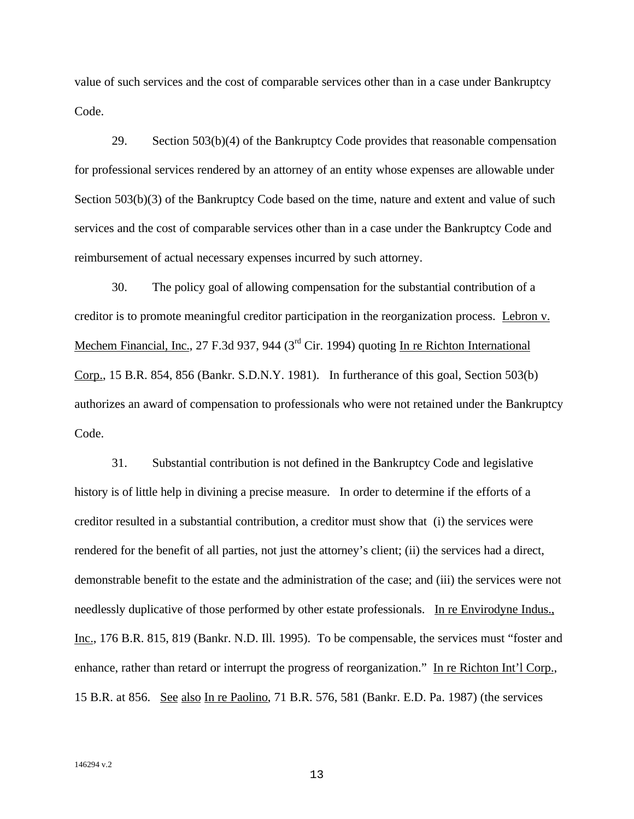value of such services and the cost of comparable services other than in a case under Bankruptcy Code.

29. Section 503(b)(4) of the Bankruptcy Code provides that reasonable compensation for professional services rendered by an attorney of an entity whose expenses are allowable under Section 503(b)(3) of the Bankruptcy Code based on the time, nature and extent and value of such services and the cost of comparable services other than in a case under the Bankruptcy Code and reimbursement of actual necessary expenses incurred by such attorney.

30. The policy goal of allowing compensation for the substantial contribution of a creditor is to promote meaningful creditor participation in the reorganization process. Lebron v. Mechem Financial, Inc., 27 F.3d 937, 944 (3<sup>rd</sup> Cir. 1994) quoting In re Richton International Corp., 15 B.R. 854, 856 (Bankr. S.D.N.Y. 1981). In furtherance of this goal, Section 503(b) authorizes an award of compensation to professionals who were not retained under the Bankruptcy Code.

31. Substantial contribution is not defined in the Bankruptcy Code and legislative history is of little help in divining a precise measure. In order to determine if the efforts of a creditor resulted in a substantial contribution, a creditor must show that (i) the services were rendered for the benefit of all parties, not just the attorney's client; (ii) the services had a direct, demonstrable benefit to the estate and the administration of the case; and (iii) the services were not needlessly duplicative of those performed by other estate professionals. In re Envirodyne Indus., Inc., 176 B.R. 815, 819 (Bankr. N.D. Ill. 1995). To be compensable, the services must "foster and enhance, rather than retard or interrupt the progress of reorganization." In re Richton Int'l Corp., 15 B.R. at 856. See also In re Paolino, 71 B.R. 576, 581 (Bankr. E.D. Pa. 1987) (the services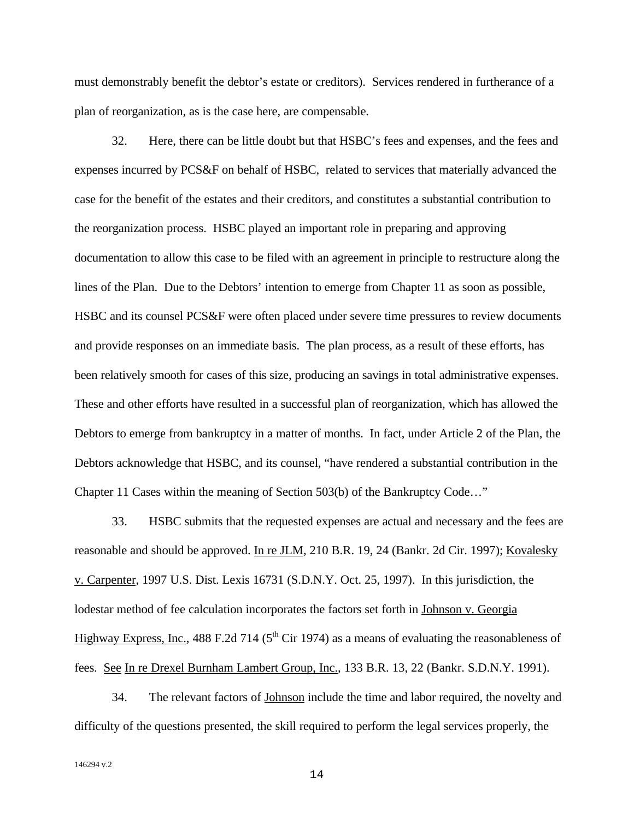must demonstrably benefit the debtor's estate or creditors). Services rendered in furtherance of a plan of reorganization, as is the case here, are compensable.

32. Here, there can be little doubt but that HSBC's fees and expenses, and the fees and expenses incurred by PCS&F on behalf of HSBC, related to services that materially advanced the case for the benefit of the estates and their creditors, and constitutes a substantial contribution to the reorganization process. HSBC played an important role in preparing and approving documentation to allow this case to be filed with an agreement in principle to restructure along the lines of the Plan. Due to the Debtors' intention to emerge from Chapter 11 as soon as possible, HSBC and its counsel PCS&F were often placed under severe time pressures to review documents and provide responses on an immediate basis. The plan process, as a result of these efforts, has been relatively smooth for cases of this size, producing an savings in total administrative expenses. These and other efforts have resulted in a successful plan of reorganization, which has allowed the Debtors to emerge from bankruptcy in a matter of months. In fact, under Article 2 of the Plan, the Debtors acknowledge that HSBC, and its counsel, "have rendered a substantial contribution in the Chapter 11 Cases within the meaning of Section 503(b) of the Bankruptcy Code…"

33. HSBC submits that the requested expenses are actual and necessary and the fees are reasonable and should be approved. In re JLM, 210 B.R. 19, 24 (Bankr. 2d Cir. 1997); Kovalesky v. Carpenter, 1997 U.S. Dist. Lexis 16731 (S.D.N.Y. Oct. 25, 1997). In this jurisdiction, the lodestar method of fee calculation incorporates the factors set forth in Johnson v. Georgia Highway Express, Inc., 488 F.2d 714 ( $5<sup>th</sup>$  Cir 1974) as a means of evaluating the reasonableness of fees. See In re Drexel Burnham Lambert Group, Inc., 133 B.R. 13, 22 (Bankr. S.D.N.Y. 1991).

34. The relevant factors of **Johnson** include the time and labor required, the novelty and difficulty of the questions presented, the skill required to perform the legal services properly, the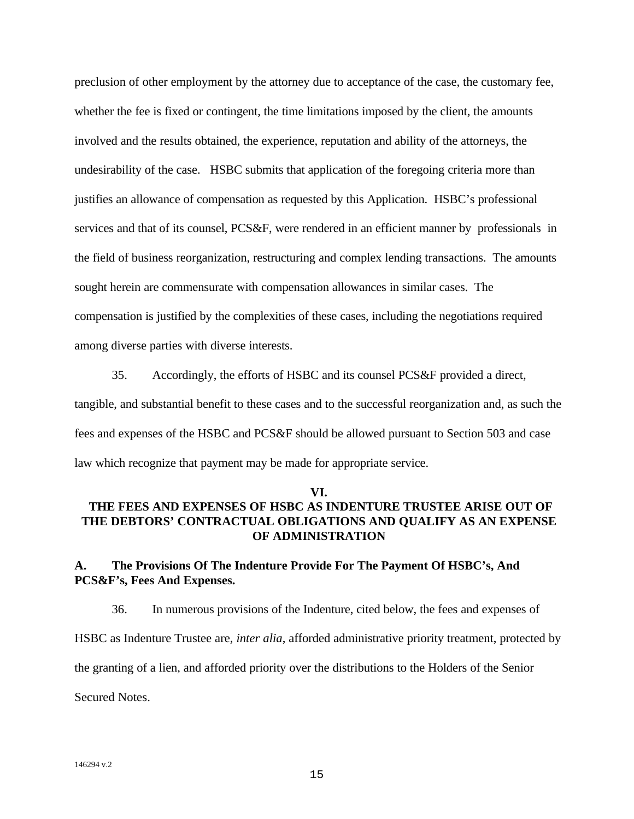preclusion of other employment by the attorney due to acceptance of the case, the customary fee, whether the fee is fixed or contingent, the time limitations imposed by the client, the amounts involved and the results obtained, the experience, reputation and ability of the attorneys, the undesirability of the case. HSBC submits that application of the foregoing criteria more than justifies an allowance of compensation as requested by this Application. HSBC's professional services and that of its counsel, PCS&F, were rendered in an efficient manner by professionals in the field of business reorganization, restructuring and complex lending transactions. The amounts sought herein are commensurate with compensation allowances in similar cases. The compensation is justified by the complexities of these cases, including the negotiations required among diverse parties with diverse interests.

35. Accordingly, the efforts of HSBC and its counsel PCS&F provided a direct, tangible, and substantial benefit to these cases and to the successful reorganization and, as such the fees and expenses of the HSBC and PCS&F should be allowed pursuant to Section 503 and case law which recognize that payment may be made for appropriate service.

#### **VI.**

# **THE FEES AND EXPENSES OF HSBC AS INDENTURE TRUSTEE ARISE OUT OF THE DEBTORS' CONTRACTUAL OBLIGATIONS AND QUALIFY AS AN EXPENSE OF ADMINISTRATION**

# **A. The Provisions Of The Indenture Provide For The Payment Of HSBC's, And PCS&F's, Fees And Expenses.**

36. In numerous provisions of the Indenture, cited below, the fees and expenses of HSBC as Indenture Trustee are*, inter alia*, afforded administrative priority treatment, protected by the granting of a lien, and afforded priority over the distributions to the Holders of the Senior Secured Notes.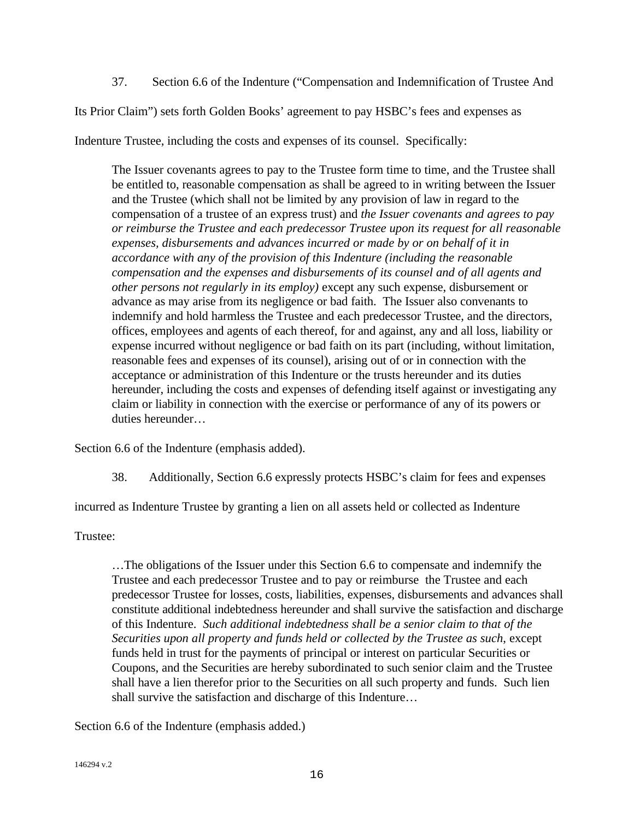37. Section 6.6 of the Indenture ("Compensation and Indemnification of Trustee And

Its Prior Claim") sets forth Golden Books' agreement to pay HSBC's fees and expenses as

Indenture Trustee, including the costs and expenses of its counsel. Specifically:

The Issuer covenants agrees to pay to the Trustee form time to time, and the Trustee shall be entitled to, reasonable compensation as shall be agreed to in writing between the Issuer and the Trustee (which shall not be limited by any provision of law in regard to the compensation of a trustee of an express trust) and *the Issuer covenants and agrees to pay or reimburse the Trustee and each predecessor Trustee upon its request for all reasonable expenses, disbursements and advances incurred or made by or on behalf of it in accordance with any of the provision of this Indenture (including the reasonable compensation and the expenses and disbursements of its counsel and of all agents and other persons not regularly in its employ)* except any such expense, disbursement or advance as may arise from its negligence or bad faith. The Issuer also convenants to indemnify and hold harmless the Trustee and each predecessor Trustee, and the directors, offices, employees and agents of each thereof, for and against, any and all loss, liability or expense incurred without negligence or bad faith on its part (including, without limitation, reasonable fees and expenses of its counsel), arising out of or in connection with the acceptance or administration of this Indenture or the trusts hereunder and its duties hereunder, including the costs and expenses of defending itself against or investigating any claim or liability in connection with the exercise or performance of any of its powers or duties hereunder…

Section 6.6 of the Indenture (emphasis added).

38. Additionally, Section 6.6 expressly protects HSBC's claim for fees and expenses

incurred as Indenture Trustee by granting a lien on all assets held or collected as Indenture

Trustee:

…The obligations of the Issuer under this Section 6.6 to compensate and indemnify the Trustee and each predecessor Trustee and to pay or reimburse the Trustee and each predecessor Trustee for losses, costs, liabilities, expenses, disbursements and advances shall constitute additional indebtedness hereunder and shall survive the satisfaction and discharge of this Indenture. *Such additional indebtedness shall be a senior claim to that of the Securities upon all property and funds held or collected by the Trustee as such*, except funds held in trust for the payments of principal or interest on particular Securities or Coupons, and the Securities are hereby subordinated to such senior claim and the Trustee shall have a lien therefor prior to the Securities on all such property and funds. Such lien shall survive the satisfaction and discharge of this Indenture…

Section 6.6 of the Indenture (emphasis added.)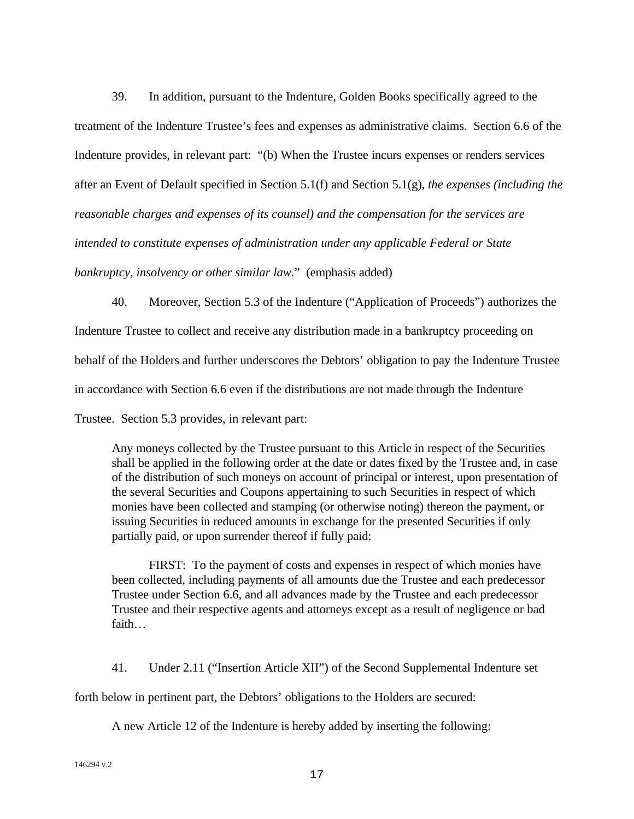39. In addition, pursuant to the Indenture, Golden Books specifically agreed to the treatment of the Indenture Trustee's fees and expenses as administrative claims. Section 6.6 of the Indenture provides, in relevant part: "(b) When the Trustee incurs expenses or renders services after an Event of Default specified in Section 5.1(f) and Section 5.1(g), *the expenses (including the reasonable charges and expenses of its counsel) and the compensation for the services are intended to constitute expenses of administration under any applicable Federal or State bankruptcy, insolvency or other similar law.*" (emphasis added)

40. Moreover, Section 5.3 of the Indenture ("Application of Proceeds") authorizes the

Indenture Trustee to collect and receive any distribution made in a bankruptcy proceeding on

behalf of the Holders and further underscores the Debtors' obligation to pay the Indenture Trustee

in accordance with Section 6.6 even if the distributions are not made through the Indenture

Trustee. Section 5.3 provides, in relevant part:

Any moneys collected by the Trustee pursuant to this Article in respect of the Securities shall be applied in the following order at the date or dates fixed by the Trustee and, in case of the distribution of such moneys on account of principal or interest, upon presentation of the several Securities and Coupons appertaining to such Securities in respect of which monies have been collected and stamping (or otherwise noting) thereon the payment, or issuing Securities in reduced amounts in exchange for the presented Securities if only partially paid, or upon surrender thereof if fully paid:

FIRST: To the payment of costs and expenses in respect of which monies have been collected, including payments of all amounts due the Trustee and each predecessor Trustee under Section 6.6, and all advances made by the Trustee and each predecessor Trustee and their respective agents and attorneys except as a result of negligence or bad faith…

41. Under 2.11 ("Insertion Article XII") of the Second Supplemental Indenture set

forth below in pertinent part, the Debtors' obligations to the Holders are secured:

A new Article 12 of the Indenture is hereby added by inserting the following: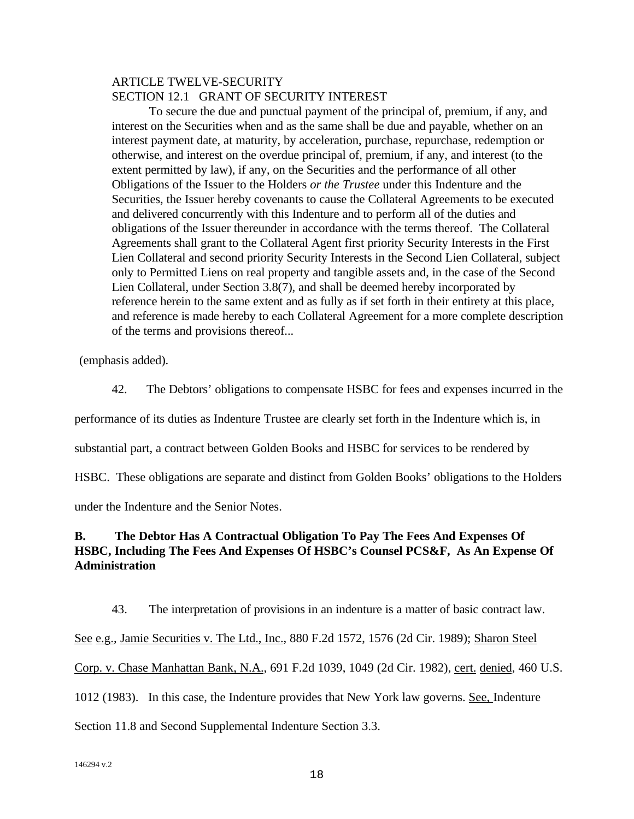### ARTICLE TWELVE-SECURITY SECTION 12.1 GRANT OF SECURITY INTEREST

To secure the due and punctual payment of the principal of, premium, if any, and interest on the Securities when and as the same shall be due and payable, whether on an interest payment date, at maturity, by acceleration, purchase, repurchase, redemption or otherwise, and interest on the overdue principal of, premium, if any, and interest (to the extent permitted by law), if any, on the Securities and the performance of all other Obligations of the Issuer to the Holders *or the Trustee* under this Indenture and the Securities, the Issuer hereby covenants to cause the Collateral Agreements to be executed and delivered concurrently with this Indenture and to perform all of the duties and obligations of the Issuer thereunder in accordance with the terms thereof. The Collateral Agreements shall grant to the Collateral Agent first priority Security Interests in the First Lien Collateral and second priority Security Interests in the Second Lien Collateral, subject only to Permitted Liens on real property and tangible assets and, in the case of the Second Lien Collateral, under Section 3.8(7), and shall be deemed hereby incorporated by reference herein to the same extent and as fully as if set forth in their entirety at this place, and reference is made hereby to each Collateral Agreement for a more complete description of the terms and provisions thereof...

(emphasis added).

42. The Debtors' obligations to compensate HSBC for fees and expenses incurred in the

performance of its duties as Indenture Trustee are clearly set forth in the Indenture which is, in

substantial part, a contract between Golden Books and HSBC for services to be rendered by

HSBC. These obligations are separate and distinct from Golden Books' obligations to the Holders

under the Indenture and the Senior Notes.

# **B. The Debtor Has A Contractual Obligation To Pay The Fees And Expenses Of HSBC, Including The Fees And Expenses Of HSBC's Counsel PCS&F, As An Expense Of Administration**

43. The interpretation of provisions in an indenture is a matter of basic contract law. See e.g., Jamie Securities v. The Ltd., Inc., 880 F.2d 1572, 1576 (2d Cir. 1989); Sharon Steel Corp. v. Chase Manhattan Bank, N.A., 691 F.2d 1039, 1049 (2d Cir. 1982), cert. denied, 460 U.S. 1012 (1983). In this case, the Indenture provides that New York law governs. See, Indenture

Section 11.8 and Second Supplemental Indenture Section 3.3.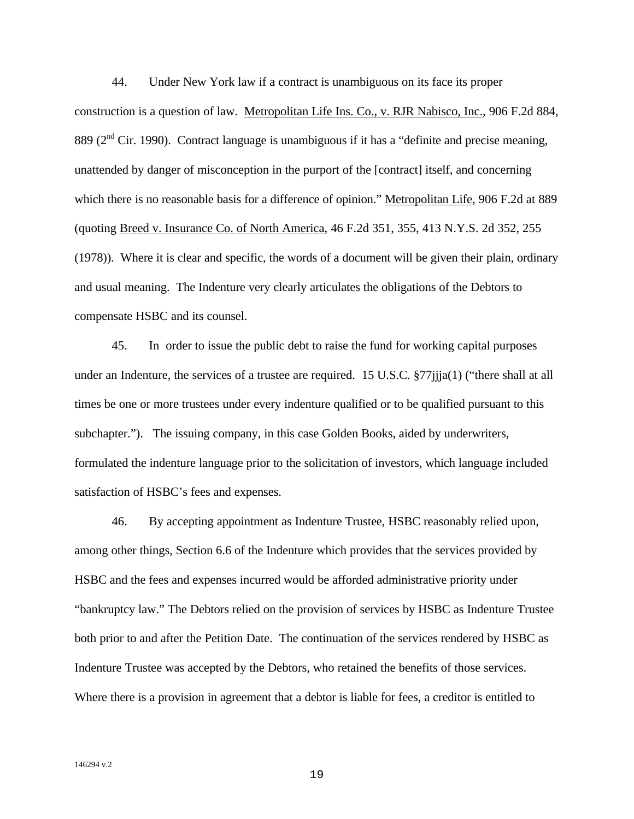44. Under New York law if a contract is unambiguous on its face its proper construction is a question of law. Metropolitan Life Ins. Co., v. RJR Nabisco, Inc., 906 F.2d 884, 889 ( $2<sup>nd</sup>$  Cir. 1990). Contract language is unambiguous if it has a "definite and precise meaning, unattended by danger of misconception in the purport of the [contract] itself, and concerning which there is no reasonable basis for a difference of opinion." Metropolitan Life, 906 F.2d at 889 (quoting Breed v. Insurance Co. of North America, 46 F.2d 351, 355, 413 N.Y.S. 2d 352, 255 (1978)). Where it is clear and specific, the words of a document will be given their plain, ordinary and usual meaning. The Indenture very clearly articulates the obligations of the Debtors to compensate HSBC and its counsel.

45. In order to issue the public debt to raise the fund for working capital purposes under an Indenture, the services of a trustee are required. 15 U.S.C. §77jjja(1) ("there shall at all times be one or more trustees under every indenture qualified or to be qualified pursuant to this subchapter."). The issuing company, in this case Golden Books, aided by underwriters, formulated the indenture language prior to the solicitation of investors, which language included satisfaction of HSBC's fees and expenses.

46. By accepting appointment as Indenture Trustee, HSBC reasonably relied upon, among other things, Section 6.6 of the Indenture which provides that the services provided by HSBC and the fees and expenses incurred would be afforded administrative priority under "bankruptcy law." The Debtors relied on the provision of services by HSBC as Indenture Trustee both prior to and after the Petition Date. The continuation of the services rendered by HSBC as Indenture Trustee was accepted by the Debtors, who retained the benefits of those services. Where there is a provision in agreement that a debtor is liable for fees, a creditor is entitled to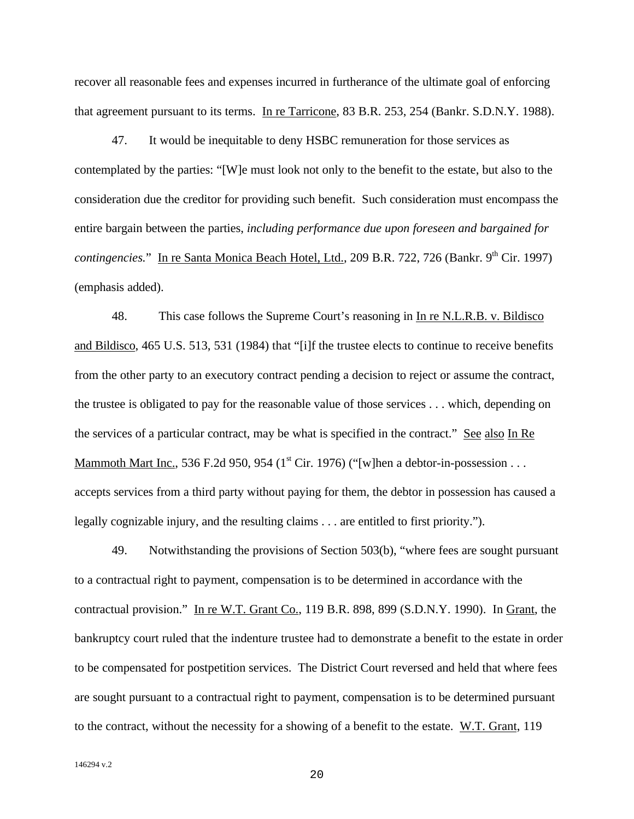recover all reasonable fees and expenses incurred in furtherance of the ultimate goal of enforcing that agreement pursuant to its terms. In re Tarricone, 83 B.R. 253, 254 (Bankr. S.D.N.Y. 1988).

47. It would be inequitable to deny HSBC remuneration for those services as contemplated by the parties: "[W]e must look not only to the benefit to the estate, but also to the consideration due the creditor for providing such benefit. Such consideration must encompass the entire bargain between the parties, *including performance due upon foreseen and bargained for contingencies.*" In re Santa Monica Beach Hotel, Ltd., 209 B.R. 722, 726 (Bankr. 9<sup>th</sup> Cir. 1997) (emphasis added).

48. This case follows the Supreme Court's reasoning in In re N.L.R.B. v. Bildisco and Bildisco, 465 U.S. 513, 531 (1984) that "[i]f the trustee elects to continue to receive benefits from the other party to an executory contract pending a decision to reject or assume the contract, the trustee is obligated to pay for the reasonable value of those services . . . which, depending on the services of a particular contract, may be what is specified in the contract." See also In Re Mammoth Mart Inc., 536 F.2d 950, 954 ( $1<sup>st</sup> Cir.$  1976) ("[w]hen a debtor-in-possession . . . accepts services from a third party without paying for them, the debtor in possession has caused a legally cognizable injury, and the resulting claims . . . are entitled to first priority.").

49. Notwithstanding the provisions of Section 503(b), "where fees are sought pursuant to a contractual right to payment, compensation is to be determined in accordance with the contractual provision." In re W.T. Grant Co., 119 B.R. 898, 899 (S.D.N.Y. 1990). In Grant, the bankruptcy court ruled that the indenture trustee had to demonstrate a benefit to the estate in order to be compensated for postpetition services. The District Court reversed and held that where fees are sought pursuant to a contractual right to payment, compensation is to be determined pursuant to the contract, without the necessity for a showing of a benefit to the estate. W.T. Grant, 119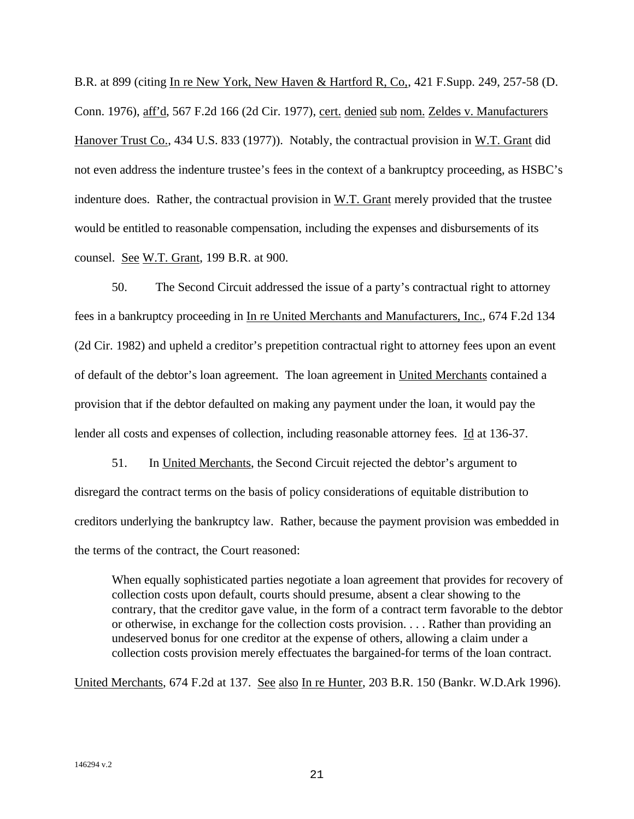B.R. at 899 (citing In re New York, New Haven & Hartford R, Co,, 421 F.Supp. 249, 257-58 (D. Conn. 1976), aff'd, 567 F.2d 166 (2d Cir. 1977), cert. denied sub nom. Zeldes v. Manufacturers Hanover Trust Co., 434 U.S. 833 (1977)). Notably, the contractual provision in W.T. Grant did not even address the indenture trustee's fees in the context of a bankruptcy proceeding, as HSBC's indenture does. Rather, the contractual provision in  $W.T.$  Grant merely provided that the trustee would be entitled to reasonable compensation, including the expenses and disbursements of its counsel. See W.T. Grant, 199 B.R. at 900.

50. The Second Circuit addressed the issue of a party's contractual right to attorney fees in a bankruptcy proceeding in In re United Merchants and Manufacturers, Inc., 674 F.2d 134 (2d Cir. 1982) and upheld a creditor's prepetition contractual right to attorney fees upon an event of default of the debtor's loan agreement. The loan agreement in United Merchants contained a provision that if the debtor defaulted on making any payment under the loan, it would pay the lender all costs and expenses of collection, including reasonable attorney fees. Id at 136-37.

51. In United Merchants, the Second Circuit rejected the debtor's argument to disregard the contract terms on the basis of policy considerations of equitable distribution to creditors underlying the bankruptcy law. Rather, because the payment provision was embedded in the terms of the contract, the Court reasoned:

When equally sophisticated parties negotiate a loan agreement that provides for recovery of collection costs upon default, courts should presume, absent a clear showing to the contrary, that the creditor gave value, in the form of a contract term favorable to the debtor or otherwise, in exchange for the collection costs provision. . . . Rather than providing an undeserved bonus for one creditor at the expense of others, allowing a claim under a collection costs provision merely effectuates the bargained-for terms of the loan contract.

United Merchants, 674 F.2d at 137. See also In re Hunter, 203 B.R. 150 (Bankr. W.D.Ark 1996).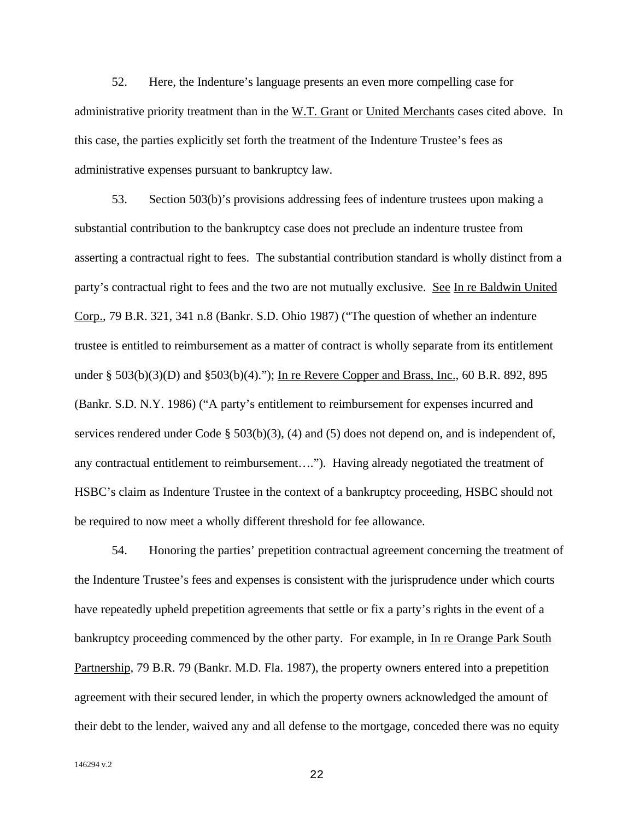52. Here, the Indenture's language presents an even more compelling case for administrative priority treatment than in the W.T. Grant or United Merchants cases cited above. In this case, the parties explicitly set forth the treatment of the Indenture Trustee's fees as administrative expenses pursuant to bankruptcy law.

53. Section 503(b)'s provisions addressing fees of indenture trustees upon making a substantial contribution to the bankruptcy case does not preclude an indenture trustee from asserting a contractual right to fees. The substantial contribution standard is wholly distinct from a party's contractual right to fees and the two are not mutually exclusive. See In re Baldwin United Corp., 79 B.R. 321, 341 n.8 (Bankr. S.D. Ohio 1987) ("The question of whether an indenture trustee is entitled to reimbursement as a matter of contract is wholly separate from its entitlement under § 503(b)(3)(D) and §503(b)(4)."); In re Revere Copper and Brass, Inc., 60 B.R. 892, 895 (Bankr. S.D. N.Y. 1986) ("A party's entitlement to reimbursement for expenses incurred and services rendered under Code § 503(b)(3), (4) and (5) does not depend on, and is independent of, any contractual entitlement to reimbursement…."). Having already negotiated the treatment of HSBC's claim as Indenture Trustee in the context of a bankruptcy proceeding, HSBC should not be required to now meet a wholly different threshold for fee allowance.

54. Honoring the parties' prepetition contractual agreement concerning the treatment of the Indenture Trustee's fees and expenses is consistent with the jurisprudence under which courts have repeatedly upheld prepetition agreements that settle or fix a party's rights in the event of a bankruptcy proceeding commenced by the other party. For example, in In re Orange Park South Partnership, 79 B.R. 79 (Bankr. M.D. Fla. 1987), the property owners entered into a prepetition agreement with their secured lender, in which the property owners acknowledged the amount of their debt to the lender, waived any and all defense to the mortgage, conceded there was no equity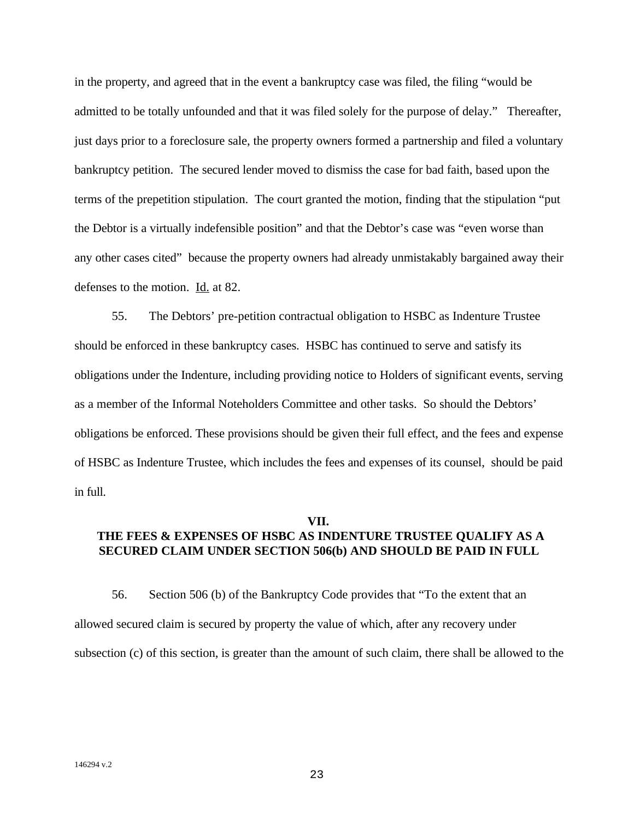in the property, and agreed that in the event a bankruptcy case was filed, the filing "would be admitted to be totally unfounded and that it was filed solely for the purpose of delay." Thereafter, just days prior to a foreclosure sale, the property owners formed a partnership and filed a voluntary bankruptcy petition. The secured lender moved to dismiss the case for bad faith, based upon the terms of the prepetition stipulation. The court granted the motion, finding that the stipulation "put the Debtor is a virtually indefensible position" and that the Debtor's case was "even worse than any other cases cited" because the property owners had already unmistakably bargained away their defenses to the motion. Id. at 82.

55. The Debtors' pre-petition contractual obligation to HSBC as Indenture Trustee should be enforced in these bankruptcy cases. HSBC has continued to serve and satisfy its obligations under the Indenture, including providing notice to Holders of significant events, serving as a member of the Informal Noteholders Committee and other tasks. So should the Debtors' obligations be enforced. These provisions should be given their full effect, and the fees and expense of HSBC as Indenture Trustee, which includes the fees and expenses of its counsel, should be paid in full.

#### **VII.**

# **THE FEES & EXPENSES OF HSBC AS INDENTURE TRUSTEE QUALIFY AS A SECURED CLAIM UNDER SECTION 506(b) AND SHOULD BE PAID IN FULL**

56. Section 506 (b) of the Bankruptcy Code provides that "To the extent that an allowed secured claim is secured by property the value of which, after any recovery under subsection (c) of this section, is greater than the amount of such claim, there shall be allowed to the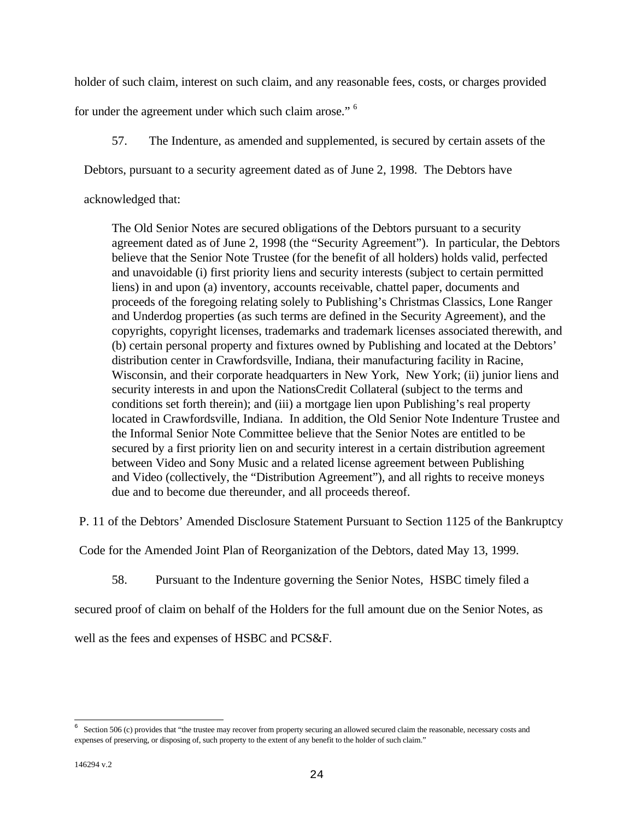holder of such claim, interest on such claim, and any reasonable fees, costs, or charges provided

for under the agreement under which such claim arose." <sup>6</sup>

57. The Indenture, as amended and supplemented, is secured by certain assets of the

Debtors, pursuant to a security agreement dated as of June 2, 1998. The Debtors have

acknowledged that:

The Old Senior Notes are secured obligations of the Debtors pursuant to a security agreement dated as of June 2, 1998 (the "Security Agreement"). In particular, the Debtors believe that the Senior Note Trustee (for the benefit of all holders) holds valid, perfected and unavoidable (i) first priority liens and security interests (subject to certain permitted liens) in and upon (a) inventory, accounts receivable, chattel paper, documents and proceeds of the foregoing relating solely to Publishing's Christmas Classics, Lone Ranger and Underdog properties (as such terms are defined in the Security Agreement), and the copyrights, copyright licenses, trademarks and trademark licenses associated therewith, and (b) certain personal property and fixtures owned by Publishing and located at the Debtors' distribution center in Crawfordsville, Indiana, their manufacturing facility in Racine, Wisconsin, and their corporate headquarters in New York, New York; (ii) junior liens and security interests in and upon the NationsCredit Collateral (subject to the terms and conditions set forth therein); and (iii) a mortgage lien upon Publishing's real property located in Crawfordsville, Indiana. In addition, the Old Senior Note Indenture Trustee and the Informal Senior Note Committee believe that the Senior Notes are entitled to be secured by a first priority lien on and security interest in a certain distribution agreement between Video and Sony Music and a related license agreement between Publishing and Video (collectively, the "Distribution Agreement"), and all rights to receive moneys due and to become due thereunder, and all proceeds thereof.

P. 11 of the Debtors' Amended Disclosure Statement Pursuant to Section 1125 of the Bankruptcy

Code for the Amended Joint Plan of Reorganization of the Debtors, dated May 13, 1999.

58. Pursuant to the Indenture governing the Senior Notes, HSBC timely filed a

secured proof of claim on behalf of the Holders for the full amount due on the Senior Notes, as

well as the fees and expenses of HSBC and PCS&F.

 6 Section 506 (c) provides that "the trustee may recover from property securing an allowed secured claim the reasonable, necessary costs and expenses of preserving, or disposing of, such property to the extent of any benefit to the holder of such claim."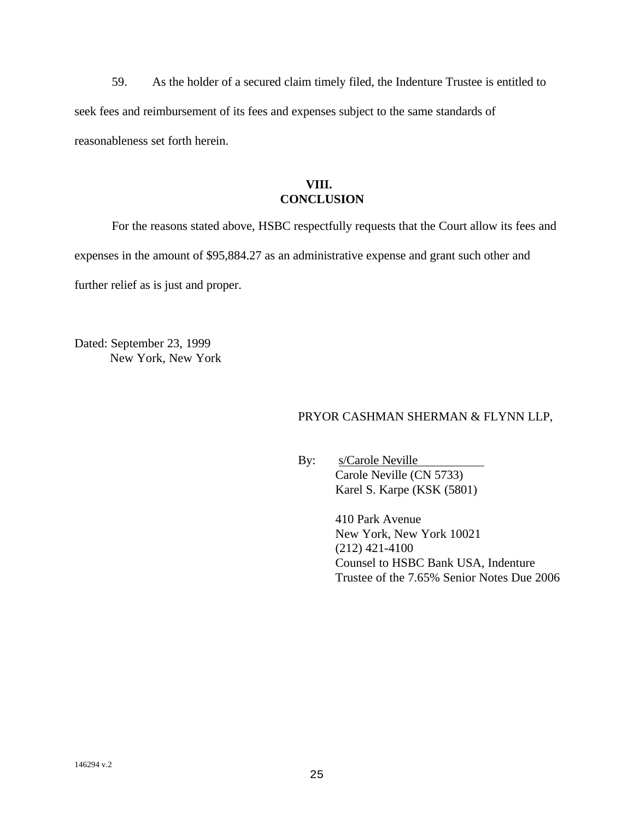59. As the holder of a secured claim timely filed, the Indenture Trustee is entitled to seek fees and reimbursement of its fees and expenses subject to the same standards of reasonableness set forth herein.

# **VIII. CONCLUSION**

For the reasons stated above, HSBC respectfully requests that the Court allow its fees and expenses in the amount of \$95,884.27 as an administrative expense and grant such other and further relief as is just and proper.

Dated: September 23, 1999 New York, New York

# PRYOR CASHMAN SHERMAN & FLYNN LLP,

By: s/Carole Neville Carole Neville (CN 5733) Karel S. Karpe (KSK (5801)

> 410 Park Avenue New York, New York 10021 (212) 421-4100 Counsel to HSBC Bank USA, Indenture Trustee of the 7.65% Senior Notes Due 2006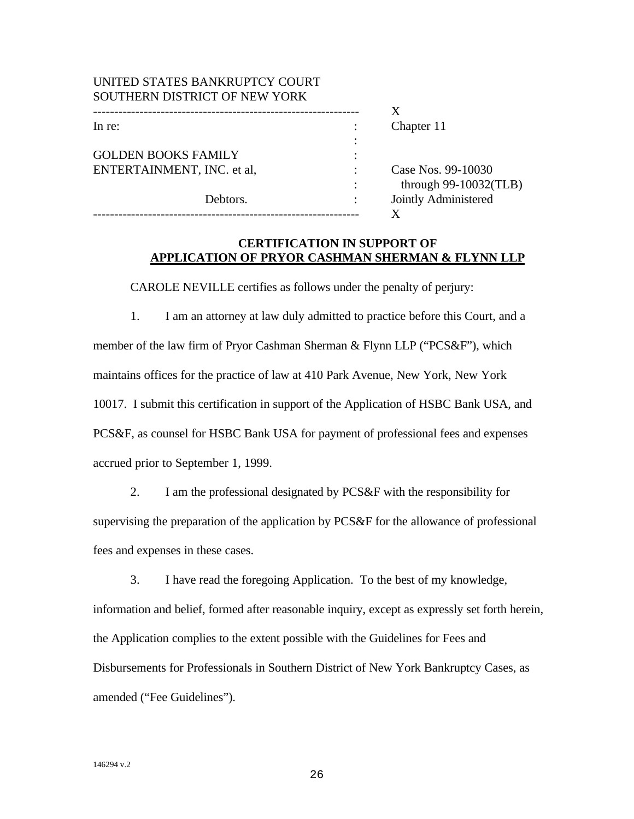| UNITED STATES BANKRUPTCY COURT |                          |
|--------------------------------|--------------------------|
| SOUTHERN DISTRICT OF NEW YORK  |                          |
|                                |                          |
| In re:                         | Chapter 11               |
|                                |                          |
| <b>GOLDEN BOOKS FAMILY</b>     |                          |
| ENTERTAINMENT, INC. et al.     | Case Nos. 99-10030       |
|                                | through $99-10032$ (TLB) |
| Debtors.                       | Jointly Administered     |
|                                |                          |

### **CERTIFICATION IN SUPPORT OF APPLICATION OF PRYOR CASHMAN SHERMAN & FLYNN LLP**

CAROLE NEVILLE certifies as follows under the penalty of perjury:

1. I am an attorney at law duly admitted to practice before this Court, and a member of the law firm of Pryor Cashman Sherman & Flynn LLP ("PCS&F"), which maintains offices for the practice of law at 410 Park Avenue, New York, New York 10017. I submit this certification in support of the Application of HSBC Bank USA, and PCS&F, as counsel for HSBC Bank USA for payment of professional fees and expenses accrued prior to September 1, 1999.

2. I am the professional designated by PCS&F with the responsibility for supervising the preparation of the application by PCS&F for the allowance of professional fees and expenses in these cases.

3. I have read the foregoing Application. To the best of my knowledge, information and belief, formed after reasonable inquiry, except as expressly set forth herein, the Application complies to the extent possible with the Guidelines for Fees and Disbursements for Professionals in Southern District of New York Bankruptcy Cases, as amended ("Fee Guidelines").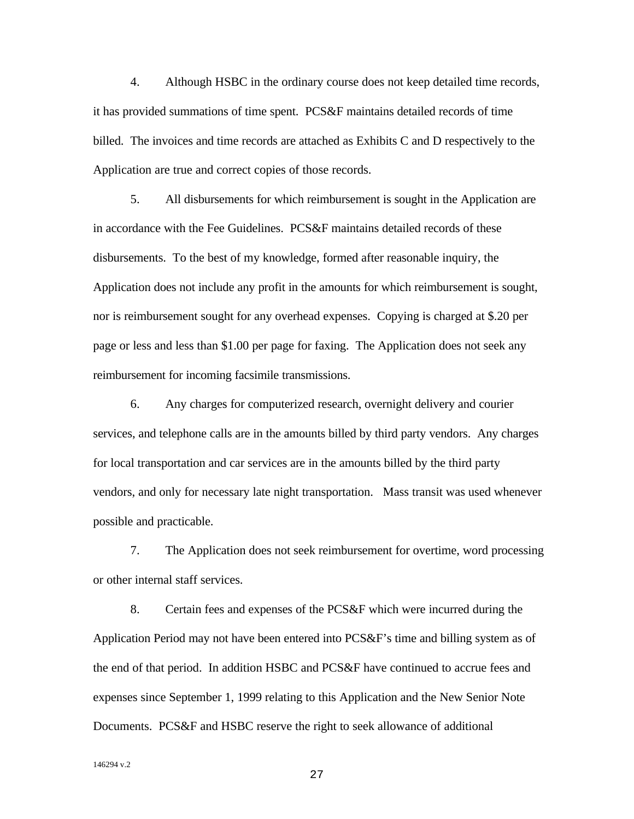4. Although HSBC in the ordinary course does not keep detailed time records, it has provided summations of time spent. PCS&F maintains detailed records of time billed. The invoices and time records are attached as Exhibits C and D respectively to the Application are true and correct copies of those records.

5. All disbursements for which reimbursement is sought in the Application are in accordance with the Fee Guidelines. PCS&F maintains detailed records of these disbursements. To the best of my knowledge, formed after reasonable inquiry, the Application does not include any profit in the amounts for which reimbursement is sought, nor is reimbursement sought for any overhead expenses. Copying is charged at \$.20 per page or less and less than \$1.00 per page for faxing. The Application does not seek any reimbursement for incoming facsimile transmissions.

6. Any charges for computerized research, overnight delivery and courier services, and telephone calls are in the amounts billed by third party vendors. Any charges for local transportation and car services are in the amounts billed by the third party vendors, and only for necessary late night transportation. Mass transit was used whenever possible and practicable.

7. The Application does not seek reimbursement for overtime, word processing or other internal staff services.

8. Certain fees and expenses of the PCS&F which were incurred during the Application Period may not have been entered into PCS&F's time and billing system as of the end of that period. In addition HSBC and PCS&F have continued to accrue fees and expenses since September 1, 1999 relating to this Application and the New Senior Note Documents. PCS&F and HSBC reserve the right to seek allowance of additional

146294 v.2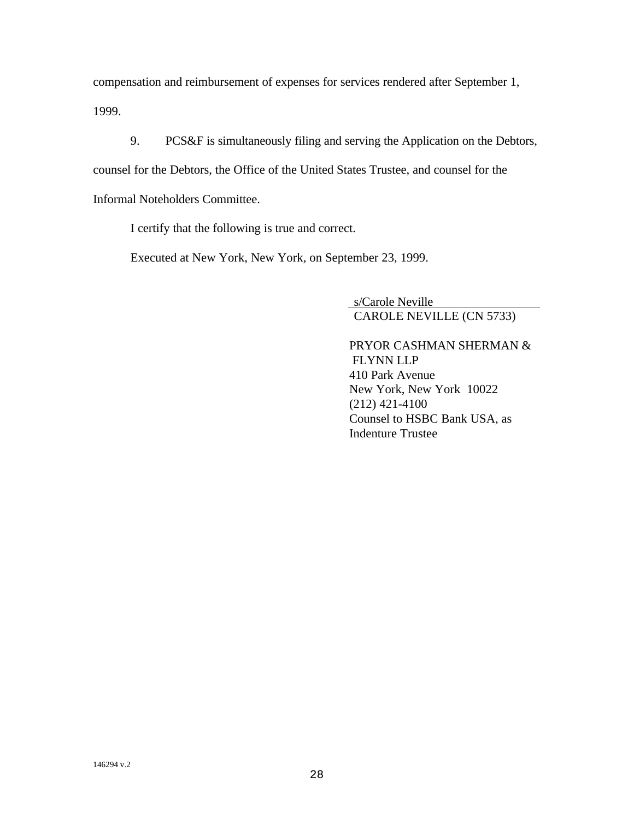compensation and reimbursement of expenses for services rendered after September 1, 1999.

9. PCS&F is simultaneously filing and serving the Application on the Debtors, counsel for the Debtors, the Office of the United States Trustee, and counsel for the Informal Noteholders Committee.

I certify that the following is true and correct.

Executed at New York, New York, on September 23, 1999.

 s/Carole Neville CAROLE NEVILLE (CN 5733)

PRYOR CASHMAN SHERMAN & FLYNN LLP 410 Park Avenue New York, New York 10022 (212) 421-4100 Counsel to HSBC Bank USA, as Indenture Trustee